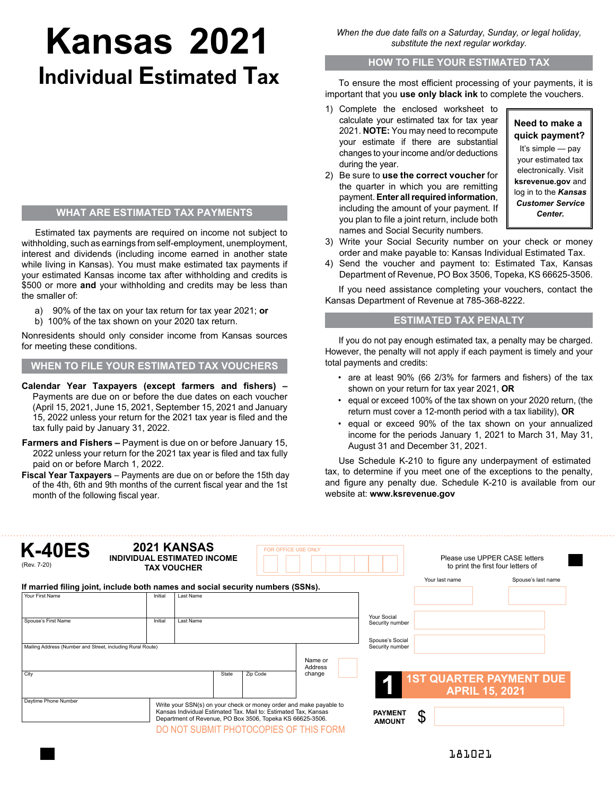# **Kansas 2021 Individual Estimated Tax**

## **WHAT ARE ESTIMATED TAX PAYMENTS**

Estimated tax payments are required on income not subject to withholding, such as earnings from self-employment, unemployment, interest and dividends (including income earned in another state while living in Kansas). You must make estimated tax payments if your estimated Kansas income tax after withholding and credits is \$500 or more **and** your withholding and credits may be less than the smaller of:

- a) 90% of the tax on your tax return for tax year 2021; **or**
- b) 100% of the tax shown on your 2020 tax return.

Nonresidents should only consider income from Kansas sources for meeting these conditions.

## **WHEN TO FILE YOUR ESTIMATED TAX VOUCHERS**

- **Calendar Year Taxpayers (except farmers and fishers) –** Payments are due on or before the due dates on each voucher (April 15, 2021, June 15, 2021, September 15, 2021 and January 15, 2022 unless your return for the 2021 tax year is filed and the tax fully paid by January 31, 2022.
- **Farmers and Fishers** Payment is due on or before January 15, 2022 unless your return for the 2021 tax year is filed and tax fully paid on or before March 1, 2022.

**Fiscal Year Taxpayers** – Payments are due on or before the 15th day of the 4th, 6th and 9th months of the current fiscal year and the 1st month of the following fiscal year.

*When the due date falls on a Saturday, Sunday, or legal holiday, substitute the next regular workday.*

#### **HOW TO FILE YOUR ESTIMATED TAX**

To ensure the most efficient processing of your payments, it is important that you **use only black ink** to complete the vouchers.

- 1) Complete the enclosed worksheet to calculate your estimated tax for tax year 2021. **NOTE:** You may need to recompute your estimate if there are substantial changes to your income and/or deductions during the year.
- 2) Be sure to **use the correct voucher** for the quarter in which you are remitting payment. **Enter all required information**, including the amount of your payment. If you plan to file a joint return, include both names and Social Security numbers.

# **Need to make a quick payment?**

It's simple — pay your estimated tax electronically. Visit **ksrevenue.gov** and log in to the *Kansas Customer Service Center.*

- 3) Write your Social Security number on your check or money order and make payable to: Kansas Individual Estimated Tax.
- 4) Send the voucher and payment to: Estimated Tax, Kansas Department of Revenue, PO Box 3506, Topeka, KS 66625-3506.

If you need assistance completing your vouchers, contact the Kansas Department of Revenue at 785-368-8222.

## **ESTIMATED TAX PENALTY**

If you do not pay enough estimated tax, a penalty may be charged. However, the penalty will not apply if each payment is timely and your total payments and credits:

- are at least 90% (66 2/3% for farmers and fishers) of the tax shown on your return for tax year 2021, **OR**
- equal or exceed 100% of the tax shown on your 2020 return, (the return must cover a 12-month period with a tax liability), **OR**
- equal or exceed 90% of the tax shown on your annualized income for the periods January 1, 2021 to March 31, May 31, August 31 and December 31, 2021.

Use Schedule K-210 to figure any underpayment of estimated tax, to determine if you meet one of the exceptions to the penalty, and figure any penalty due. Schedule K-210 is available from our website at: **www.ksrevenue.gov**

| <b>K-40ES</b><br>(Rev. 7-20)                                                    |         | 2021 KANSAS<br><b>INDIVIDUAL ESTIMATED INCOME</b><br><b>TAX VOUCHER</b>                                                                                                                                                                      |          | FOR OFFICE USE ONLY |                                    | Please use UPPER CASE letters<br>to print the first four letters of |                                |  |  |
|---------------------------------------------------------------------------------|---------|----------------------------------------------------------------------------------------------------------------------------------------------------------------------------------------------------------------------------------------------|----------|---------------------|------------------------------------|---------------------------------------------------------------------|--------------------------------|--|--|
| If married filing joint, include both names and social security numbers (SSNs). |         |                                                                                                                                                                                                                                              |          |                     |                                    | Your last name                                                      | Spouse's last name             |  |  |
| Your First Name                                                                 | Initial | <b>Last Name</b>                                                                                                                                                                                                                             |          |                     |                                    |                                                                     |                                |  |  |
| Spouse's First Name                                                             | Initial | <b>Last Name</b>                                                                                                                                                                                                                             |          |                     | Your Social<br>Security number     |                                                                     |                                |  |  |
| Mailing Address (Number and Street, including Rural Route)                      |         |                                                                                                                                                                                                                                              |          |                     | Spouse's Social<br>Security number |                                                                     |                                |  |  |
|                                                                                 |         |                                                                                                                                                                                                                                              |          | Name or<br>Address  |                                    |                                                                     |                                |  |  |
| City                                                                            |         | State                                                                                                                                                                                                                                        | Zip Code | change              |                                    | <b>APRIL 15, 2021</b>                                               | <b>1ST QUARTER PAYMENT DUE</b> |  |  |
| Daytime Phone Number                                                            |         | Write your SSN(s) on your check or money order and make payable to<br>Kansas Individual Estimated Tax. Mail to: Estimated Tax, Kansas<br>Department of Revenue, PO Box 3506, Topeka KS 66625-3506.<br>DO NOT SUBMIT PHOTOCOPIES OF THIS FORM |          |                     | <b>PAYMENT</b><br><b>AMOUNT</b>    | \$                                                                  |                                |  |  |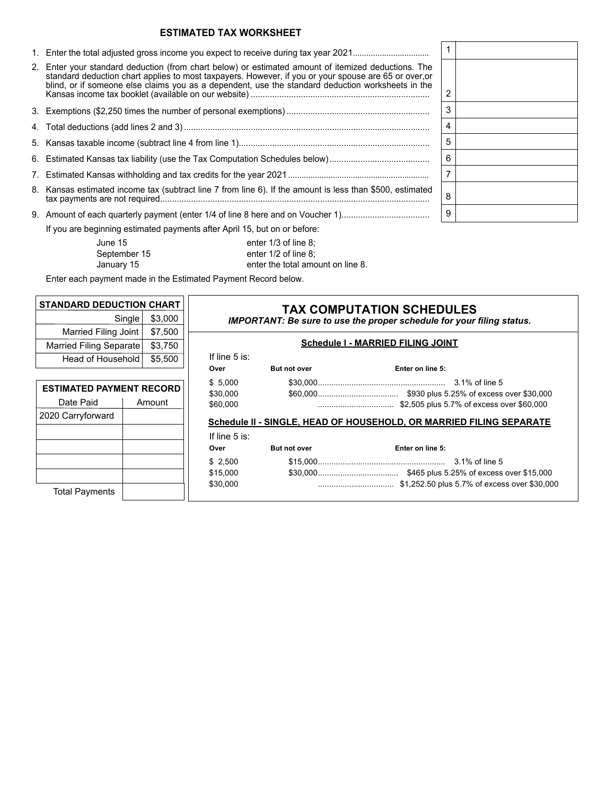## **ESTIMATED TAX WORKSHEET**

| 2. Enter your standard deduction (from chart below) or estimated amount of itemized deductions. The<br>standard deduction chart applies to most taxpayers. However, if you or your spouse are 65 or over, or<br>blind, or if someone else claims you as a dependent, use the standard deduction worksheets in the |
|-------------------------------------------------------------------------------------------------------------------------------------------------------------------------------------------------------------------------------------------------------------------------------------------------------------------|
|                                                                                                                                                                                                                                                                                                                   |
|                                                                                                                                                                                                                                                                                                                   |
|                                                                                                                                                                                                                                                                                                                   |
|                                                                                                                                                                                                                                                                                                                   |
|                                                                                                                                                                                                                                                                                                                   |
| 8. Kansas estimated income tax (subtract line 7 from line 6). If the amount is less than \$500, estimated                                                                                                                                                                                                         |
| If you are beginning estimated payments after April 15, but on or before:                                                                                                                                                                                                                                         |

| 1                       |  |
|-------------------------|--|
|                         |  |
| $\overline{\mathbf{c}}$ |  |
| 3                       |  |
| $\overline{\mathbf{4}}$ |  |
| 5                       |  |
| 6                       |  |
| $\overline{7}$          |  |
| 8                       |  |
| 9                       |  |

Uune 15 enter 1/3 of line 8;<br>September 15 enter 1/2 of line 8;<br>January 15 enter the total amo enter 1/2 of line 8; enter the total amount on line 8.

Enter each payment made in the Estimated Payment Record below.

| <b>STANDARD DEDUCTION CHART</b>                        |  |                                   |                                                                                                                  |                     |                                                                     |  |  |  |  |
|--------------------------------------------------------|--|-----------------------------------|------------------------------------------------------------------------------------------------------------------|---------------------|---------------------------------------------------------------------|--|--|--|--|
| \$3,000<br>Single <sup>1</sup>                         |  |                                   | <b>TAX COMPUTATION SCHEDULES</b><br><b>IMPORTANT: Be sure to use the proper schedule for your filing status.</b> |                     |                                                                     |  |  |  |  |
| \$7,500<br>Married Filing Joint                        |  |                                   |                                                                                                                  |                     |                                                                     |  |  |  |  |
| Married Filing Separate<br>\$3,750                     |  | Schedule I - MARRIED FILING JOINT |                                                                                                                  |                     |                                                                     |  |  |  |  |
| Head of Household                                      |  | \$5,500                           | If line $5$ is:                                                                                                  |                     |                                                                     |  |  |  |  |
|                                                        |  |                                   | Over                                                                                                             | <b>But not over</b> | Enter on line 5:                                                    |  |  |  |  |
| <b>ESTIMATED PAYMENT RECORD</b><br>Date Paid<br>Amount |  |                                   | \$5,000<br>\$30,000<br>\$60,000                                                                                  |                     | \$2,505 plus 5.7% of excess over \$60,000<br>                       |  |  |  |  |
| 2020 Carryforward                                      |  |                                   |                                                                                                                  |                     | Schedule II - SINGLE, HEAD OF HOUSEHOLD, OR MARRIED FILING SEPARATE |  |  |  |  |
|                                                        |  |                                   | If line $5$ is:                                                                                                  |                     |                                                                     |  |  |  |  |
|                                                        |  |                                   | Over                                                                                                             | <b>But not over</b> | Enter on line 5:                                                    |  |  |  |  |
|                                                        |  |                                   | \$2,500                                                                                                          |                     |                                                                     |  |  |  |  |
|                                                        |  |                                   | \$15,000                                                                                                         |                     |                                                                     |  |  |  |  |
| <b>Total Payments</b>                                  |  |                                   | \$30,000                                                                                                         |                     |                                                                     |  |  |  |  |